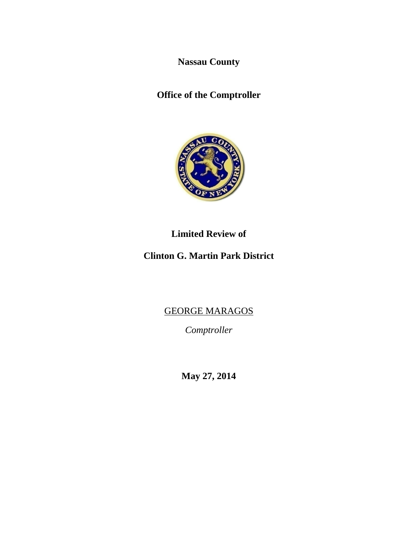**Nassau County** 

**Office of the Comptroller** 



**Limited Review of** 

**Clinton G. Martin Park District** 

GEORGE MARAGOS

*Comptroller* 

**May 27, 2014**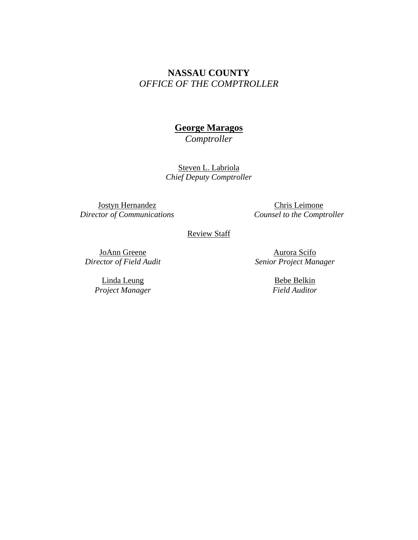# **NASSAU COUNTY**  *OFFICE OF THE COMPTROLLER*

# **George Maragos**

*Comptroller* 

Steven L. Labriola *Chief Deputy Comptroller*

Jostyn Hernandez *Director of Communications* 

Chris Leimone *Counsel to the Comptroller* 

Review Staff

JoAnn Greene *Director of Field Audit* 

> Linda Leung *Project Manager*

Aurora Scifo *Senior Project Manager* 

> Bebe Belkin *Field Auditor*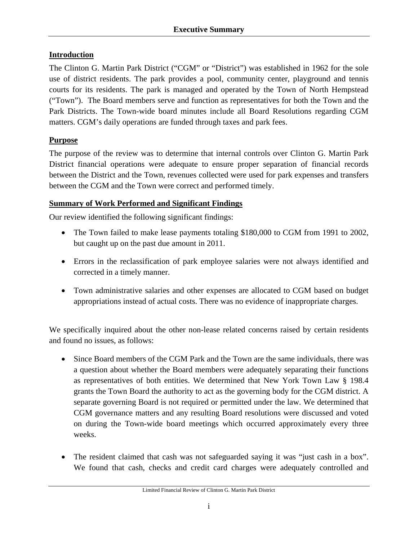## **Introduction**

The Clinton G. Martin Park District ("CGM" or "District") was established in 1962 for the sole use of district residents. The park provides a pool, community center, playground and tennis courts for its residents. The park is managed and operated by the Town of North Hempstead ("Town"). The Board members serve and function as representatives for both the Town and the Park Districts. The Town-wide board minutes include all Board Resolutions regarding CGM matters. CGM's daily operations are funded through taxes and park fees.

## **Purpose**

The purpose of the review was to determine that internal controls over Clinton G. Martin Park District financial operations were adequate to ensure proper separation of financial records between the District and the Town, revenues collected were used for park expenses and transfers between the CGM and the Town were correct and performed timely.

#### **Summary of Work Performed and Significant Findings**

Our review identified the following significant findings:

- The Town failed to make lease payments totaling \$180,000 to CGM from 1991 to 2002, but caught up on the past due amount in 2011.
- Errors in the reclassification of park employee salaries were not always identified and corrected in a timely manner.
- Town administrative salaries and other expenses are allocated to CGM based on budget appropriations instead of actual costs. There was no evidence of inappropriate charges.

We specifically inquired about the other non-lease related concerns raised by certain residents and found no issues, as follows:

- Since Board members of the CGM Park and the Town are the same individuals, there was a question about whether the Board members were adequately separating their functions as representatives of both entities. We determined that New York Town Law § 198.4 grants the Town Board the authority to act as the governing body for the CGM district. A separate governing Board is not required or permitted under the law. We determined that CGM governance matters and any resulting Board resolutions were discussed and voted on during the Town-wide board meetings which occurred approximately every three weeks.
- The resident claimed that cash was not safeguarded saying it was "just cash in a box". We found that cash, checks and credit card charges were adequately controlled and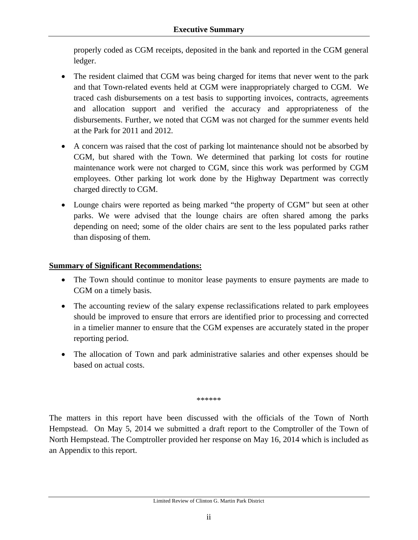properly coded as CGM receipts, deposited in the bank and reported in the CGM general ledger.

- The resident claimed that CGM was being charged for items that never went to the park and that Town-related events held at CGM were inappropriately charged to CGM. We traced cash disbursements on a test basis to supporting invoices, contracts, agreements and allocation support and verified the accuracy and appropriateness of the disbursements. Further, we noted that CGM was not charged for the summer events held at the Park for 2011 and 2012.
- A concern was raised that the cost of parking lot maintenance should not be absorbed by CGM, but shared with the Town. We determined that parking lot costs for routine maintenance work were not charged to CGM, since this work was performed by CGM employees. Other parking lot work done by the Highway Department was correctly charged directly to CGM.
- Lounge chairs were reported as being marked "the property of CGM" but seen at other parks. We were advised that the lounge chairs are often shared among the parks depending on need; some of the older chairs are sent to the less populated parks rather than disposing of them.

## **Summary of Significant Recommendations:**

- The Town should continue to monitor lease payments to ensure payments are made to CGM on a timely basis.
- The accounting review of the salary expense reclassifications related to park employees should be improved to ensure that errors are identified prior to processing and corrected in a timelier manner to ensure that the CGM expenses are accurately stated in the proper reporting period.
- The allocation of Town and park administrative salaries and other expenses should be based on actual costs.

\*\*\*\*\*\*

The matters in this report have been discussed with the officials of the Town of North Hempstead. On May 5, 2014 we submitted a draft report to the Comptroller of the Town of North Hempstead. The Comptroller provided her response on May 16, 2014 which is included as an Appendix to this report.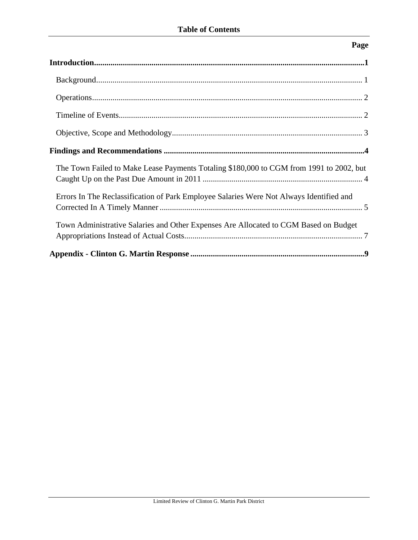## **Page**

| The Town Failed to Make Lease Payments Totaling \$180,000 to CGM from 1991 to 2002, but |
|-----------------------------------------------------------------------------------------|
| Errors In The Reclassification of Park Employee Salaries Were Not Always Identified and |
| Town Administrative Salaries and Other Expenses Are Allocated to CGM Based on Budget    |
|                                                                                         |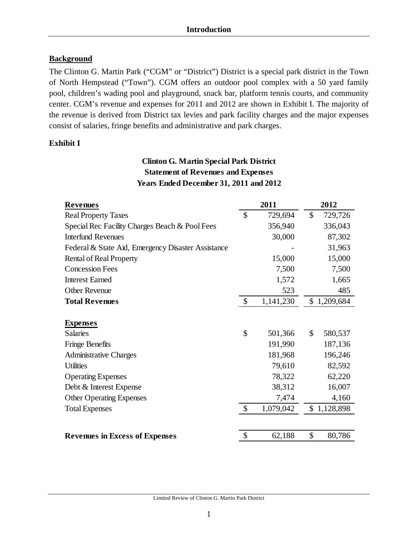## **Background**

The Clinton G. Martin Park ("CGM" or "District") District is a special park district in the Town of North Hempstead ("Town"). CGM offers an outdoor pool complex with a 50 yard family pool, children's wading pool and playground, snack bar, platform tennis courts, and community center. CGM's revenue and expenses for 2011 and 2012 are shown in Exhibit I. The majority of the revenue is derived from District tax levies and park facility charges and the major expenses consist of salaries, fringe benefits and administrative and park charges.

## **Exhibit I**

## **Clinton G. Martin Special Park District Statement of Revenues and Expenses Years Ended December 31, 2011 and 2012**

| <b>Revenues</b>                                    |                           | 2011      | 2012          |
|----------------------------------------------------|---------------------------|-----------|---------------|
| <b>Real Property Taxes</b>                         | \$                        | 729,694   | \$<br>729,726 |
| Special Rec Facility Charges Beach & Pool Fees     |                           | 356,940   | 336,043       |
| <b>Interfund Revenues</b>                          |                           | 30,000    | 87,302        |
| Federal & State Aid, Emergency Disaster Assistance |                           |           | 31,963        |
| <b>Rental of Real Property</b>                     |                           | 15,000    | 15,000        |
| <b>Concession Fees</b>                             |                           | 7,500     | 7,500         |
| <b>Interest Earned</b>                             |                           | 1,572     | 1,665         |
| Other Revenue                                      |                           | 523       | 485           |
| <b>Total Revenues</b>                              | \$                        | 1,141,230 | \$1,209,684   |
|                                                    |                           |           |               |
| <b>Expenses</b>                                    |                           |           |               |
| <b>Salaries</b>                                    | \$                        | 501,366   | \$<br>580,537 |
| <b>Fringe Benefits</b>                             |                           | 191,990   | 187,136       |
| <b>Administrative Charges</b>                      |                           | 181,968   | 196,246       |
| <b>Utilities</b>                                   |                           | 79,610    | 82,592        |
| <b>Operating Expenses</b>                          |                           | 78,322    | 62,220        |
| Debt & Interest Expense                            |                           | 38,312    | 16,007        |
| <b>Other Operating Expenses</b>                    |                           | 7,474     | 4,160         |
| <b>Total Expenses</b>                              | $\boldsymbol{\mathsf{S}}$ | 1,079,042 | \$1,128,898   |
|                                                    |                           |           |               |
| <b>Revenues in Excess of Expenses</b>              | \$                        | 62,188    | \$<br>80,786  |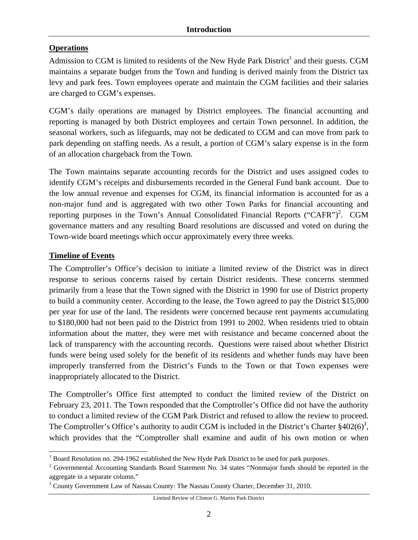## **Operations**

Admission to CGM is limited to residents of the New Hyde Park District<sup>1</sup> and their guests. CGM maintains a separate budget from the Town and funding is derived mainly from the District tax levy and park fees. Town employees operate and maintain the CGM facilities and their salaries are charged to CGM's expenses.

CGM's daily operations are managed by District employees. The financial accounting and reporting is managed by both District employees and certain Town personnel. In addition, the seasonal workers, such as lifeguards, may not be dedicated to CGM and can move from park to park depending on staffing needs. As a result, a portion of CGM's salary expense is in the form of an allocation chargeback from the Town.

The Town maintains separate accounting records for the District and uses assigned codes to identify CGM's receipts and disbursements recorded in the General Fund bank account. Due to the low annual revenue and expenses for CGM, its financial information is accounted for as a non-major fund and is aggregated with two other Town Parks for financial accounting and reporting purposes in the Town's Annual Consolidated Financial Reports ("CAFR")<sup>2</sup>. CGM governance matters and any resulting Board resolutions are discussed and voted on during the Town-wide board meetings which occur approximately every three weeks.

## **Timeline of Events**

The Comptroller's Office's decision to initiate a limited review of the District was in direct response to serious concerns raised by certain District residents. These concerns stemmed primarily from a lease that the Town signed with the District in 1990 for use of District property to build a community center. According to the lease, the Town agreed to pay the District \$15,000 per year for use of the land. The residents were concerned because rent payments accumulating to \$180,000 had not been paid to the District from 1991 to 2002. When residents tried to obtain information about the matter, they were met with resistance and became concerned about the lack of transparency with the accounting records. Questions were raised about whether District funds were being used solely for the benefit of its residents and whether funds may have been improperly transferred from the District's Funds to the Town or that Town expenses were inappropriately allocated to the District.

The Comptroller's Office first attempted to conduct the limited review of the District on February 23, 2011. The Town responded that the Comptroller's Office did not have the authority to conduct a limited review of the CGM Park District and refused to allow the review to proceed. The Comptroller's Office's authority to audit CGM is included in the District's Charter  $\S 402(6)^3$ , which provides that the "Comptroller shall examine and audit of his own motion or when

 $\overline{\phantom{a}}$ <sup>1</sup> Board Resolution no. 294-1962 established the New Hyde Park District to be used for park purposes.

 $2^2$  Governmental Accounting Standards Board Statement No. 34 states "Nonmajor funds should be reported in the aggregate in a separate column."

<sup>&</sup>lt;sup>3</sup> County Government Law of Nassau County: The Nassau County Charter, December 31, 2010.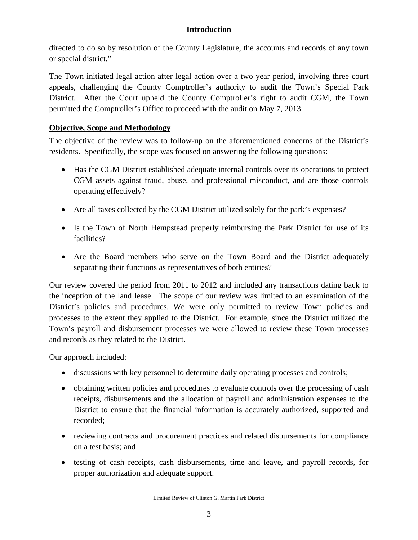directed to do so by resolution of the County Legislature, the accounts and records of any town or special district."

The Town initiated legal action after legal action over a two year period, involving three court appeals, challenging the County Comptroller's authority to audit the Town's Special Park District. After the Court upheld the County Comptroller's right to audit CGM, the Town permitted the Comptroller's Office to proceed with the audit on May 7, 2013.

## **Objective, Scope and Methodology**

The objective of the review was to follow-up on the aforementioned concerns of the District's residents. Specifically, the scope was focused on answering the following questions:

- Has the CGM District established adequate internal controls over its operations to protect CGM assets against fraud, abuse, and professional misconduct, and are those controls operating effectively?
- Are all taxes collected by the CGM District utilized solely for the park's expenses?
- Is the Town of North Hempstead properly reimbursing the Park District for use of its facilities?
- Are the Board members who serve on the Town Board and the District adequately separating their functions as representatives of both entities?

Our review covered the period from 2011 to 2012 and included any transactions dating back to the inception of the land lease. The scope of our review was limited to an examination of the District's policies and procedures. We were only permitted to review Town policies and processes to the extent they applied to the District. For example, since the District utilized the Town's payroll and disbursement processes we were allowed to review these Town processes and records as they related to the District.

Our approach included:

- discussions with key personnel to determine daily operating processes and controls;
- obtaining written policies and procedures to evaluate controls over the processing of cash receipts, disbursements and the allocation of payroll and administration expenses to the District to ensure that the financial information is accurately authorized, supported and recorded;
- reviewing contracts and procurement practices and related disbursements for compliance on a test basis; and
- testing of cash receipts, cash disbursements, time and leave, and payroll records, for proper authorization and adequate support.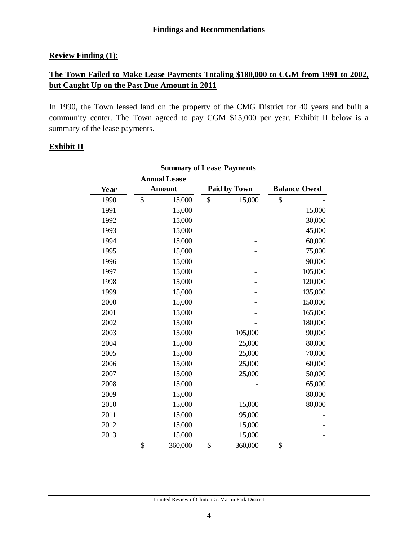#### **Review Finding (1):**

## **The Town Failed to Make Lease Payments Totaling \$180,000 to CGM from 1991 to 2002, but Caught Up on the Past Due Amount in 2011**

In 1990, the Town leased land on the property of the CMG District for 40 years and built a community center. The Town agreed to pay CGM \$15,000 per year. Exhibit II below is a summary of the lease payments.

#### **Exhibit II**

|      | <b>Annual Lease</b> |               |                     |
|------|---------------------|---------------|---------------------|
| Year | <b>Amount</b>       | Paid by Town  | <b>Balance Owed</b> |
| 1990 | \$<br>15,000        | \$<br>15,000  | \$                  |
| 1991 | 15,000              |               | 15,000              |
| 1992 | 15,000              |               | 30,000              |
| 1993 | 15,000              |               | 45,000              |
| 1994 | 15,000              |               | 60,000              |
| 1995 | 15,000              |               | 75,000              |
| 1996 | 15,000              |               | 90,000              |
| 1997 | 15,000              |               | 105,000             |
| 1998 | 15,000              |               | 120,000             |
| 1999 | 15,000              |               | 135,000             |
| 2000 | 15,000              |               | 150,000             |
| 2001 | 15,000              |               | 165,000             |
| 2002 | 15,000              |               | 180,000             |
| 2003 | 15,000              | 105,000       | 90,000              |
| 2004 | 15,000              | 25,000        | 80,000              |
| 2005 | 15,000              | 25,000        | 70,000              |
| 2006 | 15,000              | 25,000        | 60,000              |
| 2007 | 15,000              | 25,000        | 50,000              |
| 2008 | 15,000              |               | 65,000              |
| 2009 | 15,000              |               | 80,000              |
| 2010 | 15,000              | 15,000        | 80,000              |
| 2011 | 15,000              | 95,000        |                     |
| 2012 | 15,000              | 15,000        |                     |
| 2013 | 15,000              | 15,000        |                     |
|      | \$<br>360,000       | \$<br>360,000 | \$                  |

#### **Summary of Lease Payments**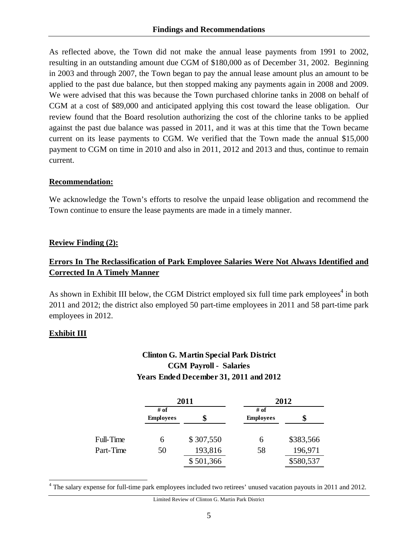As reflected above, the Town did not make the annual lease payments from 1991 to 2002, resulting in an outstanding amount due CGM of \$180,000 as of December 31, 2002. Beginning in 2003 and through 2007, the Town began to pay the annual lease amount plus an amount to be applied to the past due balance, but then stopped making any payments again in 2008 and 2009. We were advised that this was because the Town purchased chlorine tanks in 2008 on behalf of CGM at a cost of \$89,000 and anticipated applying this cost toward the lease obligation. Our review found that the Board resolution authorizing the cost of the chlorine tanks to be applied against the past due balance was passed in 2011, and it was at this time that the Town became current on its lease payments to CGM. We verified that the Town made the annual \$15,000 payment to CGM on time in 2010 and also in 2011, 2012 and 2013 and thus, continue to remain current.

#### **Recommendation:**

We acknowledge the Town's efforts to resolve the unpaid lease obligation and recommend the Town continue to ensure the lease payments are made in a timely manner.

#### **Review Finding (2):**

## **Errors In The Reclassification of Park Employee Salaries Were Not Always Identified and Corrected In A Timely Manner**

As shown in Exhibit III below, the CGM District employed six full time park employees<sup>4</sup> in both 2011 and 2012; the district also employed 50 part-time employees in 2011 and 58 part-time park employees in 2012.

#### **Exhibit III**

 $\overline{\phantom{a}}$ 

# **Clinton G. Martin Special Park District CGM Payroll - Salaries Years Ended December 31, 2011 and 2012**

|           |                          | 2011      | 2012                     |           |  |  |
|-----------|--------------------------|-----------|--------------------------|-----------|--|--|
|           | # of<br><b>Employees</b> | \$        | # of<br><b>Employees</b> | \$        |  |  |
| Full-Time | 6                        | \$307,550 | 6                        | \$383,566 |  |  |
| Part-Time | 50                       | 193,816   | 58                       | 196,971   |  |  |
|           |                          | \$501,366 |                          | \$580,537 |  |  |

<sup>&</sup>lt;sup>4</sup> The salary expense for full-time park employees included two retirees' unused vacation payouts in 2011 and 2012.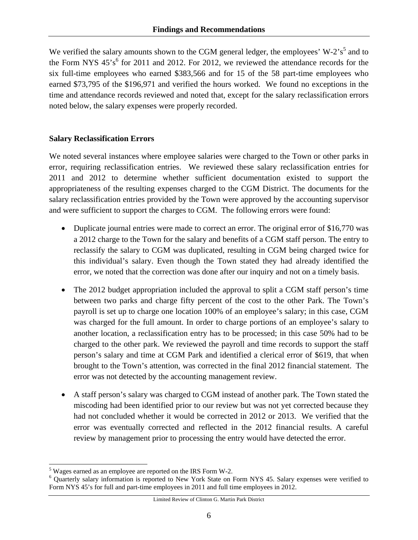We verified the salary amounts shown to the CGM general ledger, the employees'  $W-2's<sup>5</sup>$  and to the Form NYS  $45^{\circ}$  for 2011 and 2012. For 2012, we reviewed the attendance records for the six full-time employees who earned \$383,566 and for 15 of the 58 part-time employees who earned \$73,795 of the \$196,971 and verified the hours worked. We found no exceptions in the time and attendance records reviewed and noted that, except for the salary reclassification errors noted below, the salary expenses were properly recorded.

#### **Salary Reclassification Errors**

We noted several instances where employee salaries were charged to the Town or other parks in error, requiring reclassification entries. We reviewed these salary reclassification entries for 2011 and 2012 to determine whether sufficient documentation existed to support the appropriateness of the resulting expenses charged to the CGM District. The documents for the salary reclassification entries provided by the Town were approved by the accounting supervisor and were sufficient to support the charges to CGM. The following errors were found:

- Duplicate journal entries were made to correct an error. The original error of \$16,770 was a 2012 charge to the Town for the salary and benefits of a CGM staff person. The entry to reclassify the salary to CGM was duplicated, resulting in CGM being charged twice for this individual's salary. Even though the Town stated they had already identified the error, we noted that the correction was done after our inquiry and not on a timely basis.
- The 2012 budget appropriation included the approval to split a CGM staff person's time between two parks and charge fifty percent of the cost to the other Park. The Town's payroll is set up to charge one location 100% of an employee's salary; in this case, CGM was charged for the full amount. In order to charge portions of an employee's salary to another location, a reclassification entry has to be processed; in this case 50% had to be charged to the other park. We reviewed the payroll and time records to support the staff person's salary and time at CGM Park and identified a clerical error of \$619, that when brought to the Town's attention, was corrected in the final 2012 financial statement. The error was not detected by the accounting management review.
- A staff person's salary was charged to CGM instead of another park. The Town stated the miscoding had been identified prior to our review but was not yet corrected because they had not concluded whether it would be corrected in 2012 or 2013. We verified that the error was eventually corrected and reflected in the 2012 financial results. A careful review by management prior to processing the entry would have detected the error.

l <sup>5</sup> Wages earned as an employee are reported on the IRS Form W-2.

Quarterly salary information is reported to New York State on Form NYS 45. Salary expenses were verified to Form NYS 45's for full and part-time employees in 2011 and full time employees in 2012.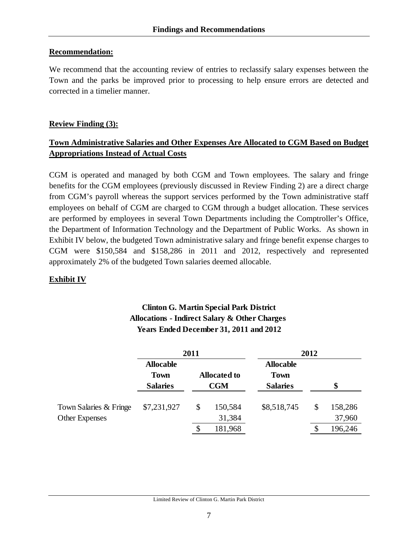#### **Recommendation:**

We recommend that the accounting review of entries to reclassify salary expenses between the Town and the parks be improved prior to processing to help ensure errors are detected and corrected in a timelier manner.

## **Review Finding (3):**

## **Town Administrative Salaries and Other Expenses Are Allocated to CGM Based on Budget Appropriations Instead of Actual Costs**

CGM is operated and managed by both CGM and Town employees. The salary and fringe benefits for the CGM employees (previously discussed in Review Finding 2) are a direct charge from CGM's payroll whereas the support services performed by the Town administrative staff employees on behalf of CGM are charged to CGM through a budget allocation. These services are performed by employees in several Town Departments including the Comptroller's Office, the Department of Information Technology and the Department of Public Works. As shown in Exhibit IV below, the budgeted Town administrative salary and fringe benefit expense charges to CGM were \$150,584 and \$158,286 in 2011 and 2012, respectively and represented approximately 2% of the budgeted Town salaries deemed allocable.

## **Exhibit IV**

|                  | 2011                |                  |
|------------------|---------------------|------------------|
| <b>Allocable</b> |                     | <b>Allocable</b> |
| <b>Town</b>      | <b>Allocated to</b> | <b>Town</b>      |
| <b>Salaries</b>  | <b>CGM</b>          | <b>Salaries</b>  |

# **Clinton G. Martin Special Park District Allocations - Indirect Salary & Other Charges**

|                                          | <b>Salaries</b> | <b>CGM</b> |                   | <b>Salaries</b> |  | \$                |  |
|------------------------------------------|-----------------|------------|-------------------|-----------------|--|-------------------|--|
| Town Salaries & Fringe<br>Other Expenses | \$7,231,927     | <b>S</b>   | 150,584<br>31,384 | \$8,518,745     |  | 158,286<br>37,960 |  |
|                                          |                 |            | 181,968           |                 |  | 196,246           |  |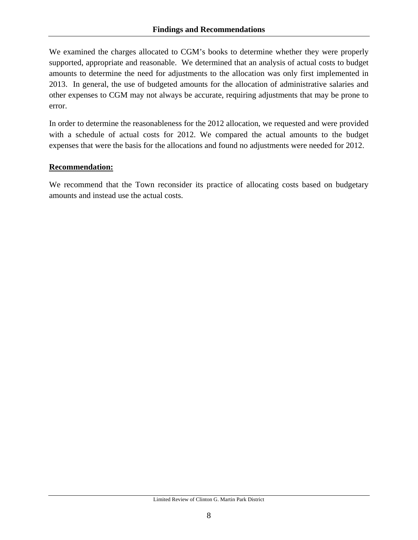We examined the charges allocated to CGM's books to determine whether they were properly supported, appropriate and reasonable. We determined that an analysis of actual costs to budget amounts to determine the need for adjustments to the allocation was only first implemented in 2013. In general, the use of budgeted amounts for the allocation of administrative salaries and other expenses to CGM may not always be accurate, requiring adjustments that may be prone to error.

In order to determine the reasonableness for the 2012 allocation, we requested and were provided with a schedule of actual costs for 2012. We compared the actual amounts to the budget expenses that were the basis for the allocations and found no adjustments were needed for 2012.

#### **Recommendation:**

We recommend that the Town reconsider its practice of allocating costs based on budgetary amounts and instead use the actual costs.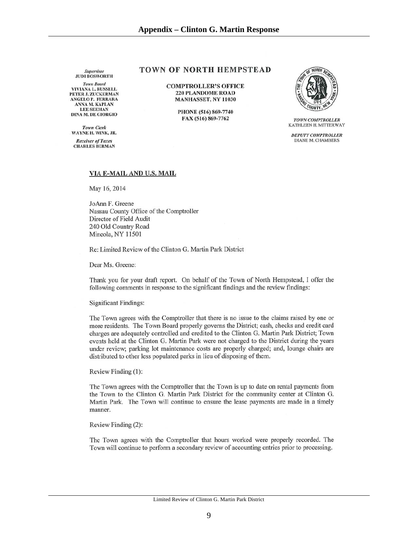Supervisor<br>JUDI BOSWORTH

**Town Board VIVIANA L. RUSSELL** PETER J. ZUCKERMAN **ANGELO P. FERRARA** ANNA M. KAPLAN **LEE SEEMAN DINA M. DE GIORGIO** 

**Town Clerk** WAYNE H. WINK, JR.

**Receiver of Taxes CHARLES BERMAN** 

#### **TOWN OF NORTH HEMPSTEAD**

**COMPTROLLER'S OFFICE 220 PLANDOME ROAD** MANHASSET, NY 11030

> PHONE (516) 869-7740 FAX (516) 869-7762



**TOWN COMPTROLLER** KATHLEEN H. MITTERWAY

**DEPUTY COMPTROLLER DIANE M. CHAMBERS** 

#### VIA E-MAIL AND U.S. MAIL

May 16, 2014

JoAnn F. Greene Nassau County Office of the Comptroller Director of Field Audit 240 Old Country Road Mineola, NY 11501

Re: Limited Review of the Clinton G. Martin Park District

Dear Ms. Greene:

Thank you for your draft report. On behalf of the Town of North Hempstead, I offer the following comments in response to the significant findings and the review findings:

**Significant Findings:** 

The Town agrees with the Comptroller that there is no issue to the claims raised by one or more residents. The Town Board properly governs the District; cash, checks and credit card charges are adequately controlled and credited to the Clinton G. Martin Park District; Town events held at the Clinton G. Martin Park were not charged to the District during the years under review; parking lot maintenance costs are properly charged; and, lounge chairs are distributed to other less populated parks in lieu of disposing of them.

Review Finding (1):

The Town agrees with the Comptroller that the Town is up to date on rental payments from the Town to the Clinton G. Martin Park District for the community center at Clinton G. Martin Park. The Town will continue to ensure the lease payments are made in a timely manner.

Review Finding (2):

The Town agrees with the Comptroller that hours worked were properly recorded. The Town will continue to perform a secondary review of accounting entries prior to processing.